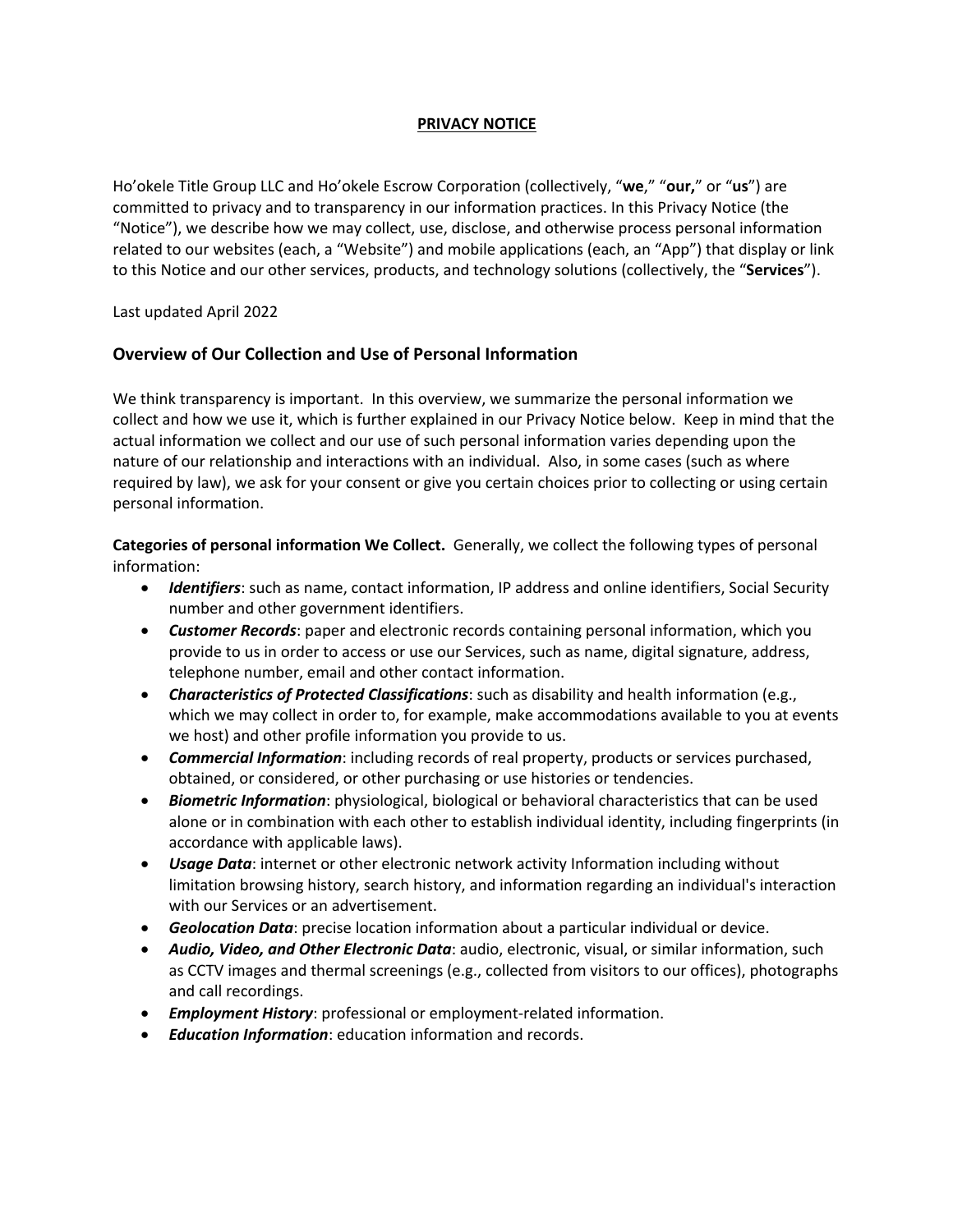#### **PRIVACY NOTICE**

Ho'okele Title Group LLC and Ho'okele Escrow Corporation (collectively, "**we**," "**our,**" or "**us**") are committed to privacy and to transparency in our information practices. In this Privacy Notice (the "Notice"), we describe how we may collect, use, disclose, and otherwise process personal information related to our websites (each, a "Website") and mobile applications (each, an "App") that display or link to this Notice and our other services, products, and technology solutions (collectively, the "**Services**").

Last updated April 2022

### **Overview of Our Collection and Use of Personal Information**

We think transparency is important. In this overview, we summarize the personal information we collect and how we use it, which is further explained in our Privacy Notice below. Keep in mind that the actual information we collect and our use of such personal information varies depending upon the nature of our relationship and interactions with an individual. Also, in some cases (such as where required by law), we ask for your consent or give you certain choices prior to collecting or using certain personal information.

**Categories of personal information We Collect.** Generally, we collect the following types of personal information:

- *Identifiers*: such as name, contact information, IP address and online identifiers, Social Security number and other government identifiers.
- *Customer Records*: paper and electronic records containing personal information, which you provide to us in order to access or use our Services, such as name, digital signature, address, telephone number, email and other contact information.
- *Characteristics of Protected Classifications*: such as disability and health information (e.g., which we may collect in order to, for example, make accommodations available to you at events we host) and other profile information you provide to us.
- *Commercial Information*: including records of real property, products or services purchased, obtained, or considered, or other purchasing or use histories or tendencies.
- *Biometric Information*: physiological, biological or behavioral characteristics that can be used alone or in combination with each other to establish individual identity, including fingerprints (in accordance with applicable laws).
- *Usage Data*: internet or other electronic network activity Information including without limitation browsing history, search history, and information regarding an individual's interaction with our Services or an advertisement.
- *Geolocation Data*: precise location information about a particular individual or device.
- *Audio, Video, and Other Electronic Data*: audio, electronic, visual, or similar information, such as CCTV images and thermal screenings (e.g., collected from visitors to our offices), photographs and call recordings.
- *Employment History*: professional or employment-related information.
- *Education Information*: education information and records.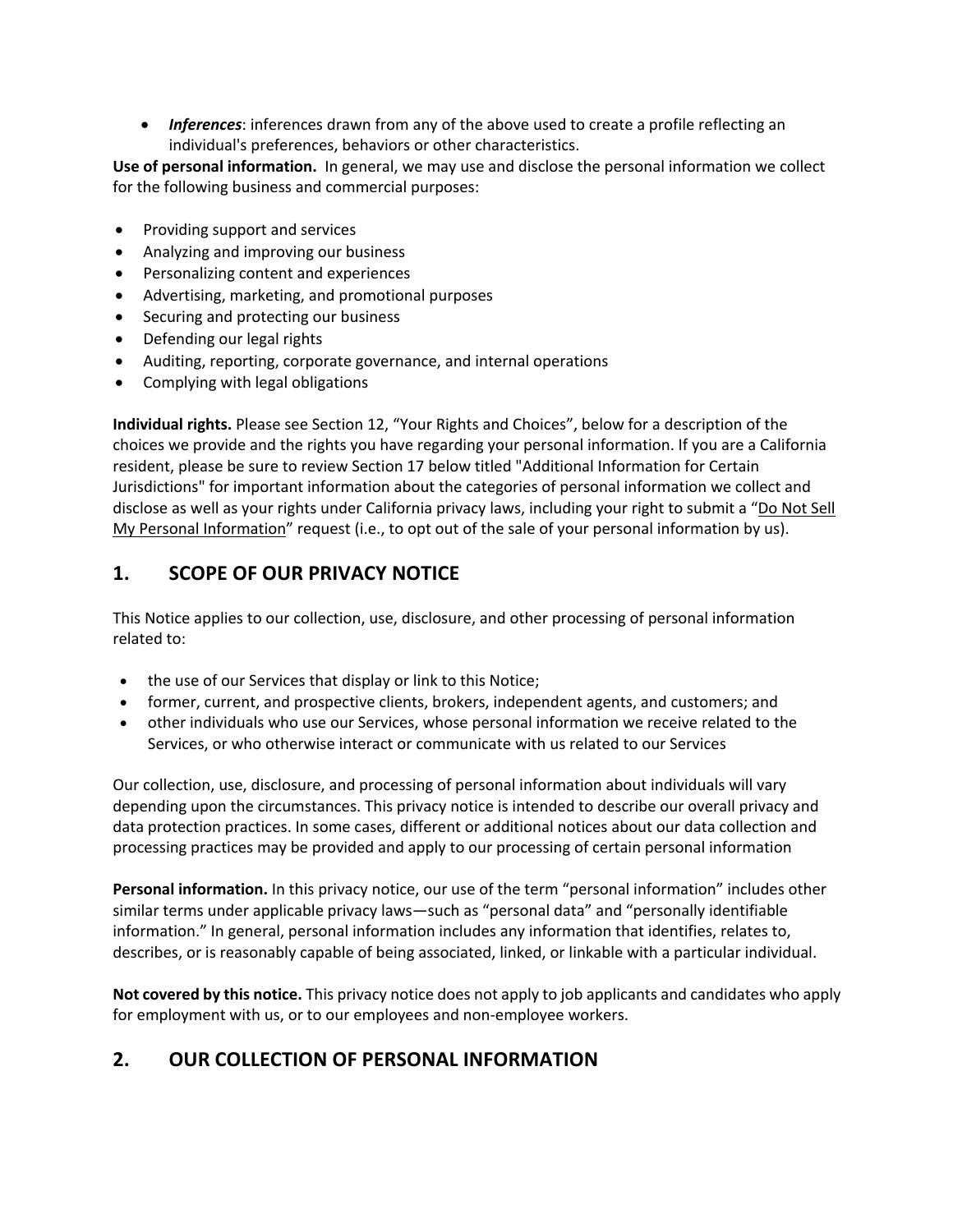• *Inferences*: inferences drawn from any of the above used to create a profile reflecting an individual's preferences, behaviors or other characteristics.

**Use of personal information.** In general, we may use and disclose the personal information we collect for the following business and commercial purposes:

- Providing support and services
- Analyzing and improving our business
- Personalizing content and experiences
- Advertising, marketing, and promotional purposes
- Securing and protecting our business
- Defending our legal rights
- Auditing, reporting, corporate governance, and internal operations
- Complying with legal obligations

**Individual rights.** Please see Section 12, "Your Rights and Choices", below for a description of the choices we provide and the rights you have regarding your personal information. If you are a California resident, please be sure to review Section 17 below titled "Additional Information for Certain Jurisdictions" for important information about the categories of personal information we collect and disclose as well as your rights under California privacy laws, including your right to submit a "Do Not Sell My Personal Information" request (i.e., to opt out of the sale of your personal information by us).

# **1. SCOPE OF OUR PRIVACY NOTICE**

This Notice applies to our collection, use, disclosure, and other processing of personal information related to:

- the use of our Services that display or link to this Notice;
- former, current, and prospective clients, brokers, independent agents, and customers; and
- other individuals who use our Services, whose personal information we receive related to the Services, or who otherwise interact or communicate with us related to our Services

Our collection, use, disclosure, and processing of personal information about individuals will vary depending upon the circumstances. This privacy notice is intended to describe our overall privacy and data protection practices. In some cases, different or additional notices about our data collection and processing practices may be provided and apply to our processing of certain personal information

**Personal information.** In this privacy notice, our use of the term "personal information" includes other similar terms under applicable privacy laws—such as "personal data" and "personally identifiable information." In general, personal information includes any information that identifies, relates to, describes, or is reasonably capable of being associated, linked, or linkable with a particular individual.

**Not covered by this notice.** This privacy notice does not apply to job applicants and candidates who apply for employment with us, or to our employees and non-employee workers.

# **2. OUR COLLECTION OF PERSONAL INFORMATION**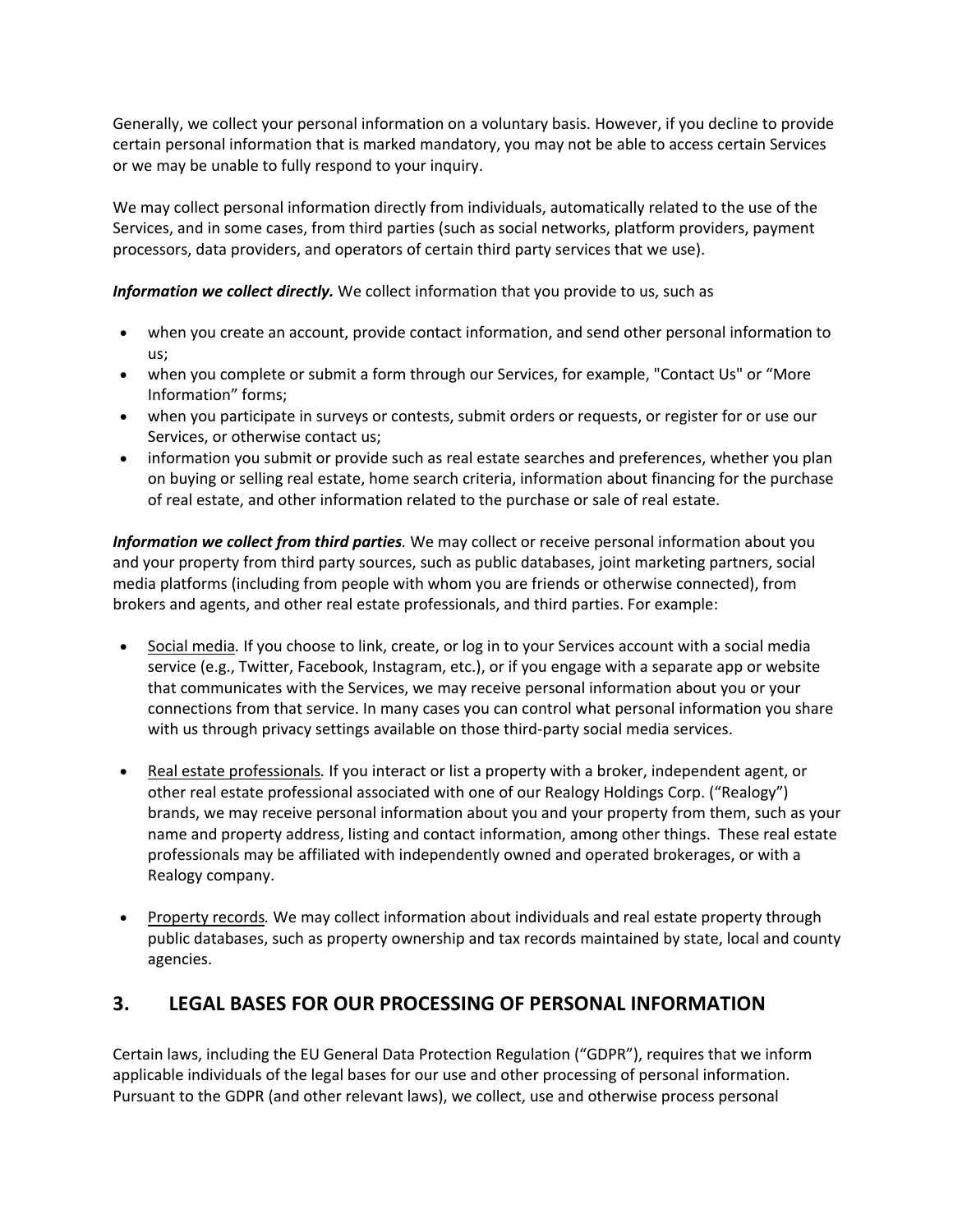Generally, we collect your personal information on a voluntary basis. However, if you decline to provide certain personal information that is marked mandatory, you may not be able to access certain Services or we may be unable to fully respond to your inquiry.

We may collect personal information directly from individuals, automatically related to the use of the Services, and in some cases, from third parties (such as social networks, platform providers, payment processors, data providers, and operators of certain third party services that we use).

#### *Information we collect directly.* We collect information that you provide to us, such as

- when you create an account, provide contact information, and send other personal information to us;
- when you complete or submit a form through our Services, for example, "Contact Us" or "More Information" forms;
- when you participate in surveys or contests, submit orders or requests, or register for or use our Services, or otherwise contact us;
- information you submit or provide such as real estate searches and preferences, whether you plan on buying or selling real estate, home search criteria, information about financing for the purchase of real estate, and other information related to the purchase or sale of real estate.

*Information we collect from third parties.* We may collect or receive personal information about you and your property from third party sources, such as public databases, joint marketing partners, social media platforms (including from people with whom you are friends or otherwise connected), from brokers and agents, and other real estate professionals, and third parties. For example:

- Social media*.* If you choose to link, create, or log in to your Services account with a social media service (e.g., Twitter, Facebook, Instagram, etc.), or if you engage with a separate app or website that communicates with the Services, we may receive personal information about you or your connections from that service. In many cases you can control what personal information you share with us through privacy settings available on those third-party social media services.
- Real estate professionals*.* If you interact or list a property with a broker, independent agent, or other real estate professional associated with one of our Realogy Holdings Corp. ("Realogy") brands, we may receive personal information about you and your property from them, such as your name and property address, listing and contact information, among other things. These real estate professionals may be affiliated with independently owned and operated brokerages, or with a Realogy company.
- Property records*.* We may collect information about individuals and real estate property through public databases, such as property ownership and tax records maintained by state, local and county agencies.

## **3. LEGAL BASES FOR OUR PROCESSING OF PERSONAL INFORMATION**

Certain laws, including the EU General Data Protection Regulation ("GDPR"), requires that we inform applicable individuals of the legal bases for our use and other processing of personal information. Pursuant to the GDPR (and other relevant laws), we collect, use and otherwise process personal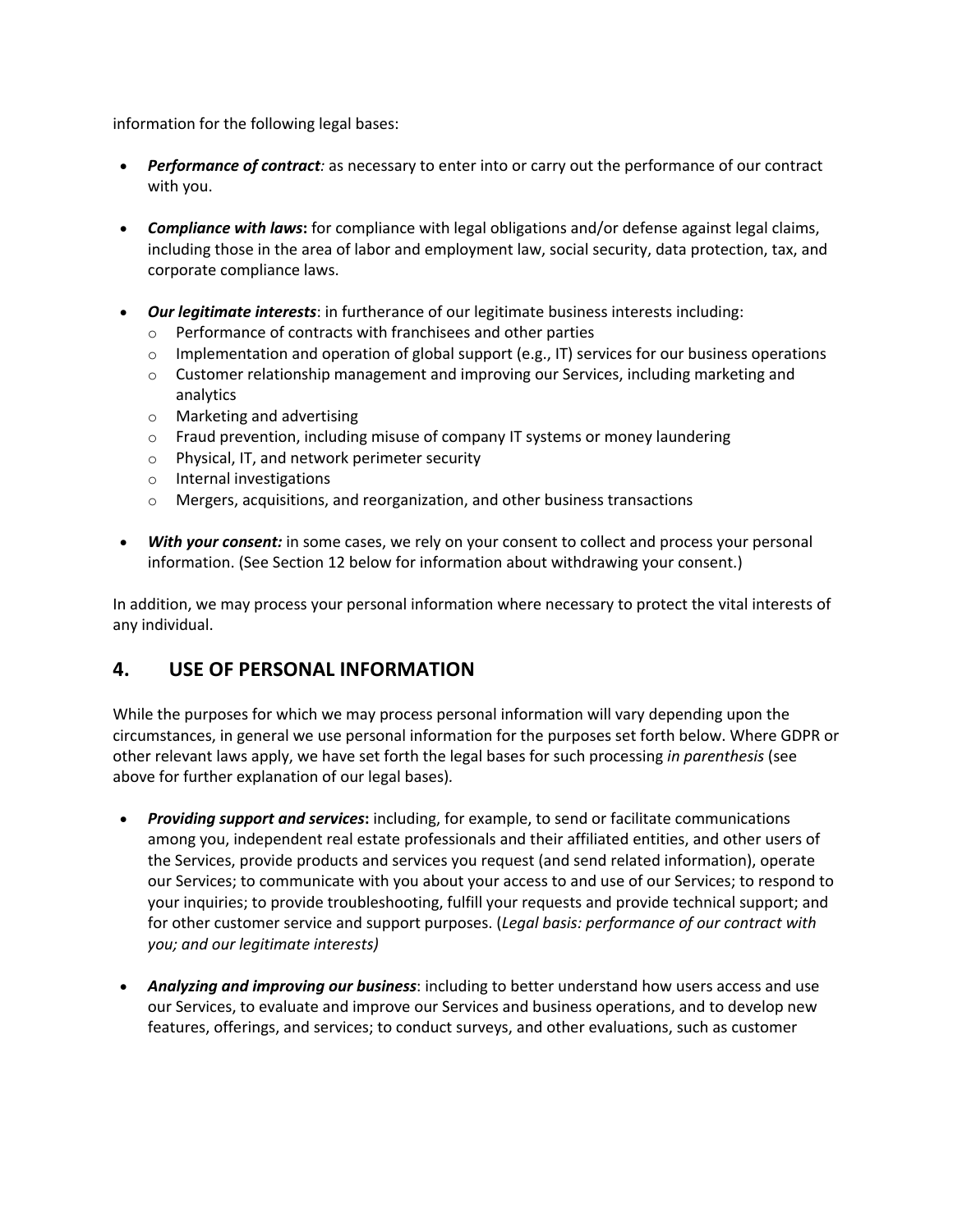information for the following legal bases:

- *Performance of contract:* as necessary to enter into or carry out the performance of our contract with you.
- *Compliance with laws***:** for compliance with legal obligations and/or defense against legal claims, including those in the area of labor and employment law, social security, data protection, tax, and corporate compliance laws.
- *Our legitimate interests*: in furtherance of our legitimate business interests including:
	- o Performance of contracts with franchisees and other parties
	- $\circ$  Implementation and operation of global support (e.g., IT) services for our business operations
	- $\circ$  Customer relationship management and improving our Services, including marketing and analytics
	- o Marketing and advertising
	- $\circ$  Fraud prevention, including misuse of company IT systems or money laundering
	- o Physical, IT, and network perimeter security
	- o Internal investigations
	- o Mergers, acquisitions, and reorganization, and other business transactions
- *With your consent:* in some cases, we rely on your consent to collect and process your personal information. (See Section 12 below for information about withdrawing your consent.)

In addition, we may process your personal information where necessary to protect the vital interests of any individual.

## **4. USE OF PERSONAL INFORMATION**

While the purposes for which we may process personal information will vary depending upon the circumstances, in general we use personal information for the purposes set forth below. Where GDPR or other relevant laws apply, we have set forth the legal bases for such processing *in parenthesis* (see above for further explanation of our legal bases)*.*

- *Providing support and services***:** including, for example, to send or facilitate communications among you, independent real estate professionals and their affiliated entities, and other users of the Services, provide products and services you request (and send related information), operate our Services; to communicate with you about your access to and use of our Services; to respond to your inquiries; to provide troubleshooting, fulfill your requests and provide technical support; and for other customer service and support purposes. (*Legal basis: performance of our contract with you; and our legitimate interests)*
- *Analyzing and improving our business*: including to better understand how users access and use our Services, to evaluate and improve our Services and business operations, and to develop new features, offerings, and services; to conduct surveys, and other evaluations, such as customer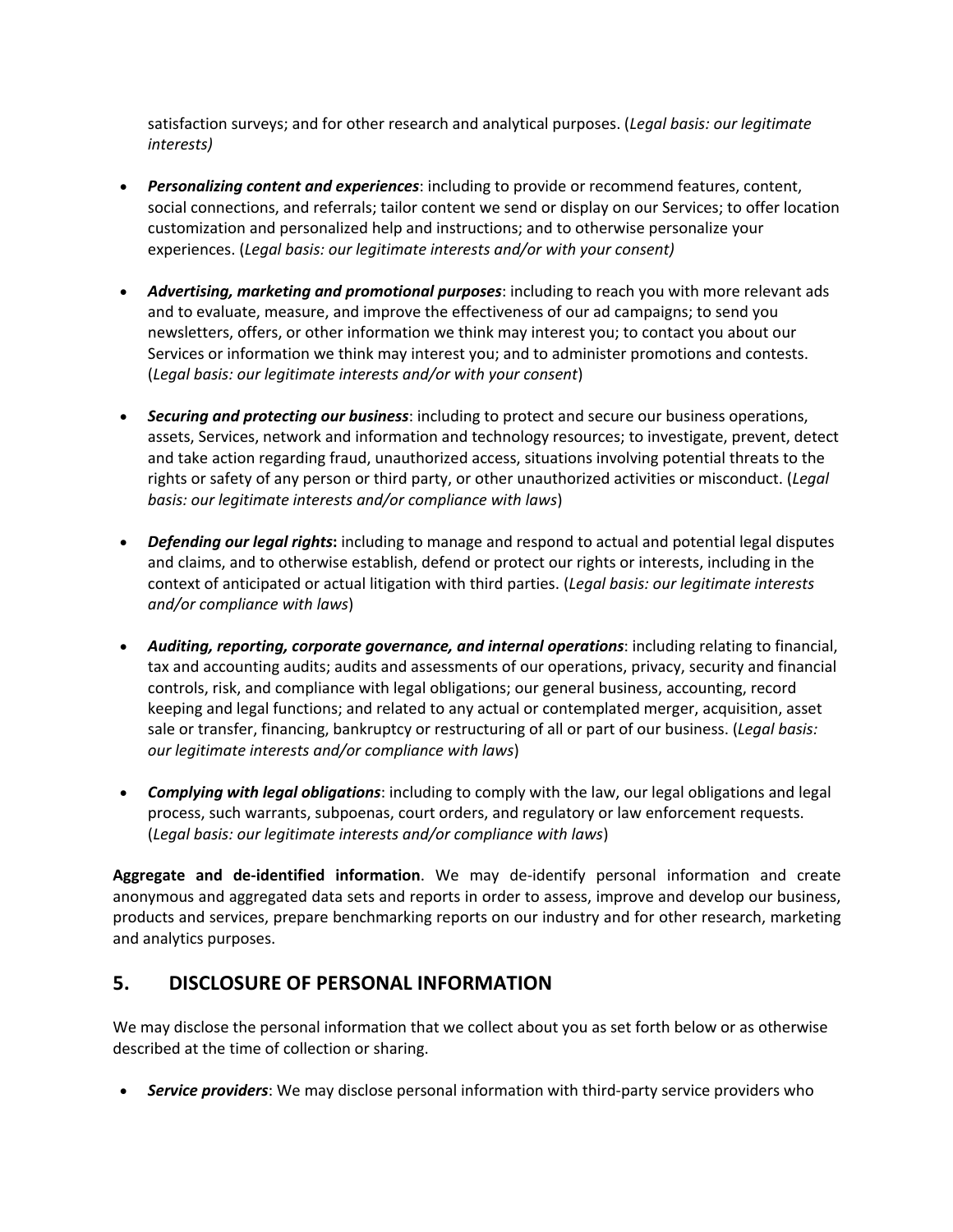satisfaction surveys; and for other research and analytical purposes. (*Legal basis: our legitimate interests)*

- *Personalizing content and experiences*: including to provide or recommend features, content, social connections, and referrals; tailor content we send or display on our Services; to offer location customization and personalized help and instructions; and to otherwise personalize your experiences. (*Legal basis: our legitimate interests and/or with your consent)*
- *Advertising, marketing and promotional purposes*: including to reach you with more relevant ads and to evaluate, measure, and improve the effectiveness of our ad campaigns; to send you newsletters, offers, or other information we think may interest you; to contact you about our Services or information we think may interest you; and to administer promotions and contests. (*Legal basis: our legitimate interests and/or with your consent*)
- *Securing and protecting our business*: including to protect and secure our business operations, assets, Services, network and information and technology resources; to investigate, prevent, detect and take action regarding fraud, unauthorized access, situations involving potential threats to the rights or safety of any person or third party, or other unauthorized activities or misconduct. (*Legal basis: our legitimate interests and/or compliance with laws*)
- *Defending our legal rights***:** including to manage and respond to actual and potential legal disputes and claims, and to otherwise establish, defend or protect our rights or interests, including in the context of anticipated or actual litigation with third parties. (*Legal basis: our legitimate interests and/or compliance with laws*)
- *Auditing, reporting, corporate governance, and internal operations*: including relating to financial, tax and accounting audits; audits and assessments of our operations, privacy, security and financial controls, risk, and compliance with legal obligations; our general business, accounting, record keeping and legal functions; and related to any actual or contemplated merger, acquisition, asset sale or transfer, financing, bankruptcy or restructuring of all or part of our business. (*Legal basis: our legitimate interests and/or compliance with laws*)
- *Complying with legal obligations*: including to comply with the law, our legal obligations and legal process, such warrants, subpoenas, court orders, and regulatory or law enforcement requests. (*Legal basis: our legitimate interests and/or compliance with laws*)

**Aggregate and de-identified information**. We may de-identify personal information and create anonymous and aggregated data sets and reports in order to assess, improve and develop our business, products and services, prepare benchmarking reports on our industry and for other research, marketing and analytics purposes.

### **5. DISCLOSURE OF PERSONAL INFORMATION**

We may disclose the personal information that we collect about you as set forth below or as otherwise described at the time of collection or sharing.

• *Service providers*: We may disclose personal information with third-party service providers who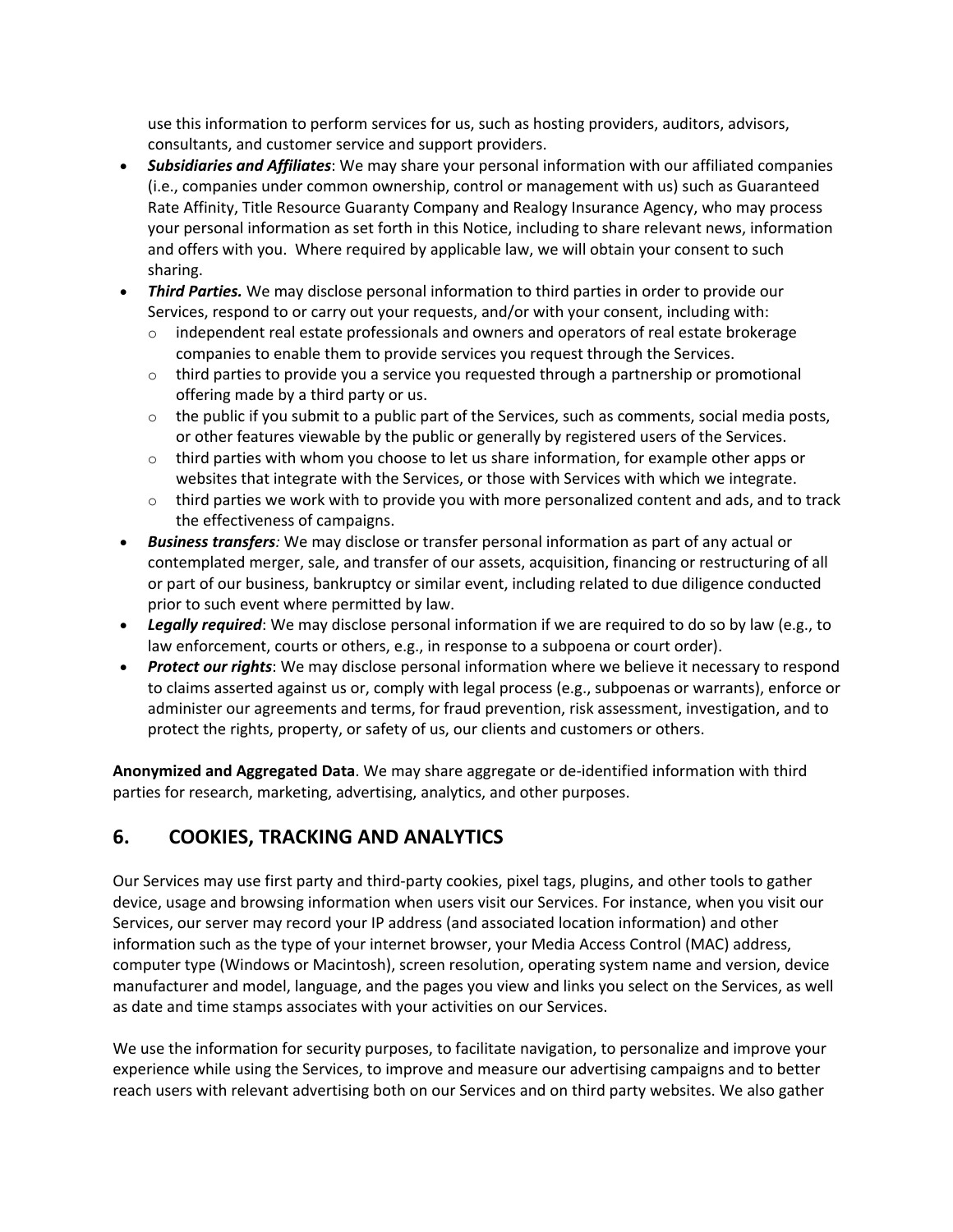use this information to perform services for us, such as hosting providers, auditors, advisors, consultants, and customer service and support providers.

- *Subsidiaries and Affiliates*: We may share your personal information with our affiliated companies (i.e., companies under common ownership, control or management with us) such as Guaranteed Rate Affinity, Title Resource Guaranty Company and Realogy Insurance Agency, who may process your personal information as set forth in this Notice, including to share relevant news, information and offers with you. Where required by applicable law, we will obtain your consent to such sharing.
- *Third Parties.* We may disclose personal information to third parties in order to provide our Services, respond to or carry out your requests, and/or with your consent, including with:
	- $\circ$  independent real estate professionals and owners and operators of real estate brokerage companies to enable them to provide services you request through the Services.
	- $\circ$  third parties to provide you a service you requested through a partnership or promotional offering made by a third party or us.
	- $\circ$  the public if you submit to a public part of the Services, such as comments, social media posts, or other features viewable by the public or generally by registered users of the Services.
	- $\circ$  third parties with whom you choose to let us share information, for example other apps or websites that integrate with the Services, or those with Services with which we integrate.
	- $\circ$  third parties we work with to provide you with more personalized content and ads, and to track the effectiveness of campaigns.
- *Business transfers:* We may disclose or transfer personal information as part of any actual or contemplated merger, sale, and transfer of our assets, acquisition, financing or restructuring of all or part of our business, bankruptcy or similar event, including related to due diligence conducted prior to such event where permitted by law.
- *Legally required*: We may disclose personal information if we are required to do so by law (e.g., to law enforcement, courts or others, e.g., in response to a subpoena or court order).
- *Protect our rights*: We may disclose personal information where we believe it necessary to respond to claims asserted against us or, comply with legal process (e.g., subpoenas or warrants), enforce or administer our agreements and terms, for fraud prevention, risk assessment, investigation, and to protect the rights, property, or safety of us, our clients and customers or others.

**Anonymized and Aggregated Data**. We may share aggregate or de-identified information with third parties for research, marketing, advertising, analytics, and other purposes.

# **6. COOKIES, TRACKING AND ANALYTICS**

Our Services may use first party and third-party cookies, pixel tags, plugins, and other tools to gather device, usage and browsing information when users visit our Services. For instance, when you visit our Services, our server may record your IP address (and associated location information) and other information such as the type of your internet browser, your Media Access Control (MAC) address, computer type (Windows or Macintosh), screen resolution, operating system name and version, device manufacturer and model, language, and the pages you view and links you select on the Services, as well as date and time stamps associates with your activities on our Services.

We use the information for security purposes, to facilitate navigation, to personalize and improve your experience while using the Services, to improve and measure our advertising campaigns and to better reach users with relevant advertising both on our Services and on third party websites. We also gather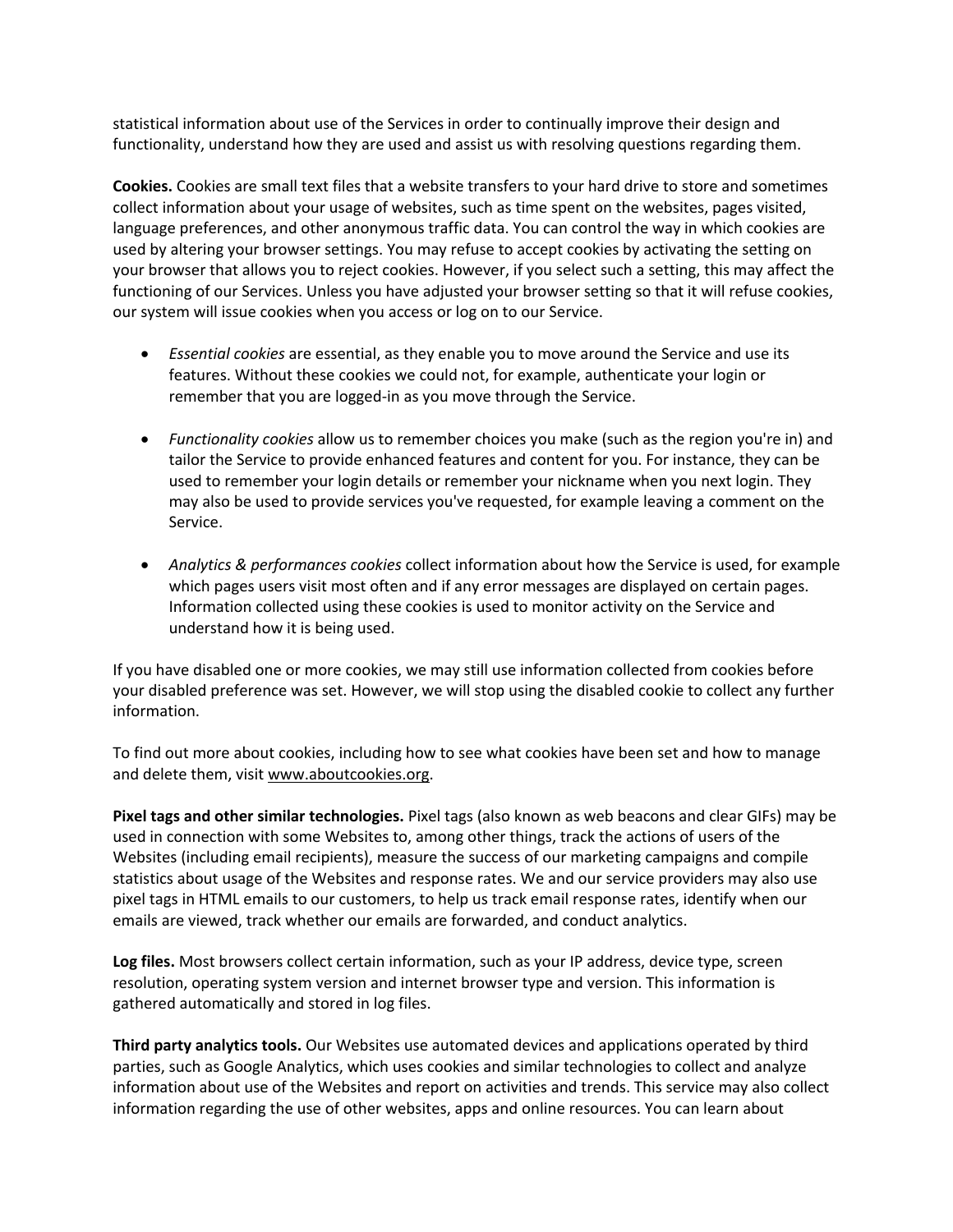statistical information about use of the Services in order to continually improve their design and functionality, understand how they are used and assist us with resolving questions regarding them.

**Cookies.** Cookies are small text files that a website transfers to your hard drive to store and sometimes collect information about your usage of websites, such as time spent on the websites, pages visited, language preferences, and other anonymous traffic data. You can control the way in which cookies are used by altering your browser settings. You may refuse to accept cookies by activating the setting on your browser that allows you to reject cookies. However, if you select such a setting, this may affect the functioning of our Services. Unless you have adjusted your browser setting so that it will refuse cookies, our system will issue cookies when you access or log on to our Service.

- *Essential cookies* are essential, as they enable you to move around the Service and use its features. Without these cookies we could not, for example, authenticate your login or remember that you are logged-in as you move through the Service.
- *Functionality cookies* allow us to remember choices you make (such as the region you're in) and tailor the Service to provide enhanced features and content for you. For instance, they can be used to remember your login details or remember your nickname when you next login. They may also be used to provide services you've requested, for example leaving a comment on the Service.
- *Analytics & performances cookies* collect information about how the Service is used, for example which pages users visit most often and if any error messages are displayed on certain pages. Information collected using these cookies is used to monitor activity on the Service and understand how it is being used.

If you have disabled one or more cookies, we may still use information collected from cookies before your disabled preference was set. However, we will stop using the disabled cookie to collect any further information.

To find out more about cookies, including how to see what cookies have been set and how to manage and delete them, visit www.aboutcookies.org.

**Pixel tags and other similar technologies.** Pixel tags (also known as web beacons and clear GIFs) may be used in connection with some Websites to, among other things, track the actions of users of the Websites (including email recipients), measure the success of our marketing campaigns and compile statistics about usage of the Websites and response rates. We and our service providers may also use pixel tags in HTML emails to our customers, to help us track email response rates, identify when our emails are viewed, track whether our emails are forwarded, and conduct analytics.

**Log files.** Most browsers collect certain information, such as your IP address, device type, screen resolution, operating system version and internet browser type and version. This information is gathered automatically and stored in log files.

**Third party analytics tools.** Our Websites use automated devices and applications operated by third parties, such as Google Analytics, which uses cookies and similar technologies to collect and analyze information about use of the Websites and report on activities and trends. This service may also collect information regarding the use of other websites, apps and online resources. You can learn about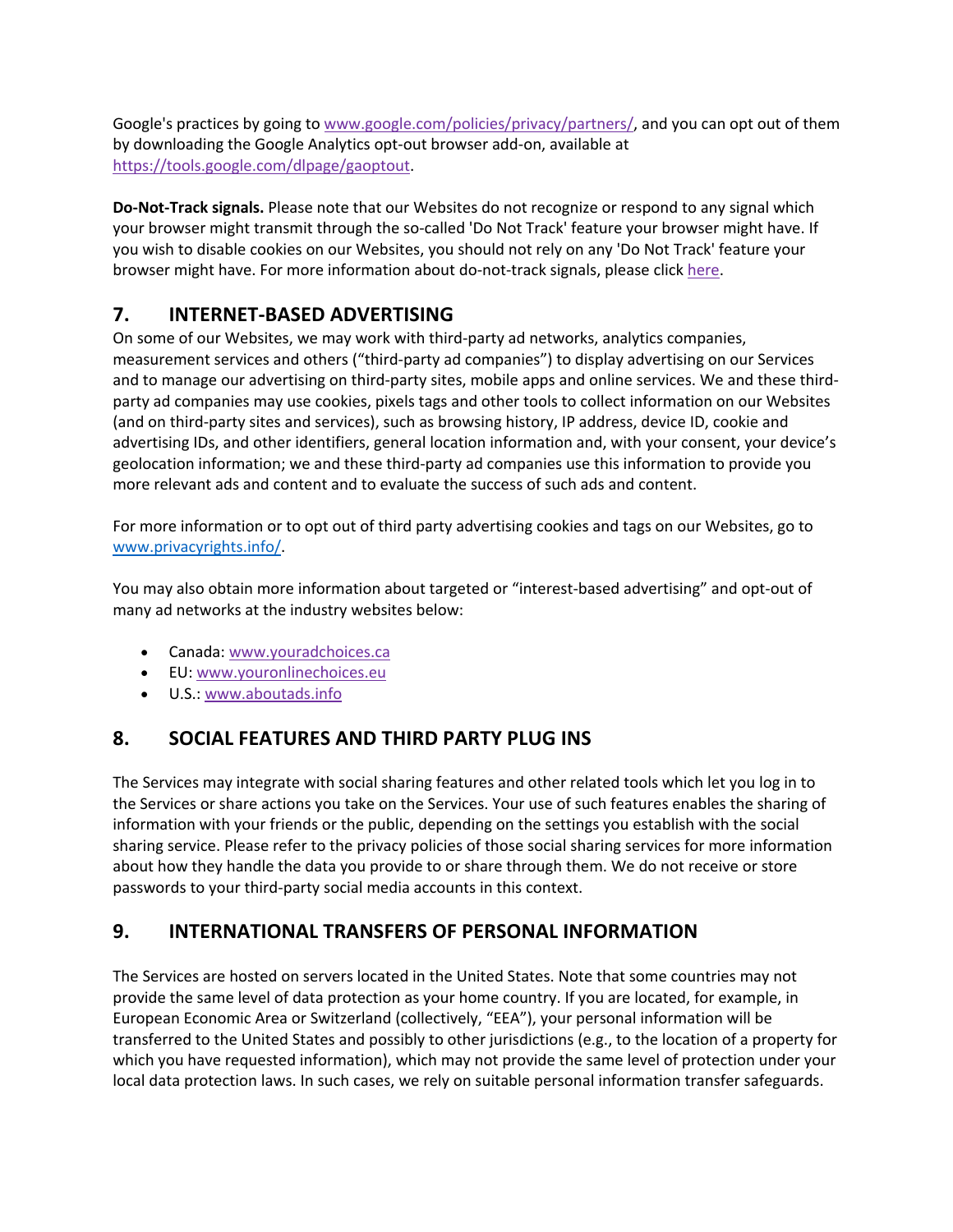Google's practices by going to www.google.com/policies/privacy/partners/, and you can opt out of them by downloading the Google Analytics opt-out browser add-on, available at https://tools.google.com/dlpage/gaoptout.

**Do-Not-Track signals.** Please note that our Websites do not recognize or respond to any signal which your browser might transmit through the so-called 'Do Not Track' feature your browser might have. If you wish to disable cookies on our Websites, you should not rely on any 'Do Not Track' feature your browser might have. For more information about do-not-track signals, please click here.

## **7. INTERNET-BASED ADVERTISING**

On some of our Websites, we may work with third-party ad networks, analytics companies, measurement services and others ("third-party ad companies") to display advertising on our Services and to manage our advertising on third-party sites, mobile apps and online services. We and these thirdparty ad companies may use cookies, pixels tags and other tools to collect information on our Websites (and on third-party sites and services), such as browsing history, IP address, device ID, cookie and advertising IDs, and other identifiers, general location information and, with your consent, your device's geolocation information; we and these third-party ad companies use this information to provide you more relevant ads and content and to evaluate the success of such ads and content.

For more information or to opt out of third party advertising cookies and tags on our Websites, go to www.privacyrights.info/.

You may also obtain more information about targeted or "interest-based advertising" and opt-out of many ad networks at the industry websites below:

- Canada: www.youradchoices.ca
- EU: www.youronlinechoices.eu
- U.S.: www.aboutads.info

# **8. SOCIAL FEATURES AND THIRD PARTY PLUG INS**

The Services may integrate with social sharing features and other related tools which let you log in to the Services or share actions you take on the Services. Your use of such features enables the sharing of information with your friends or the public, depending on the settings you establish with the social sharing service. Please refer to the privacy policies of those social sharing services for more information about how they handle the data you provide to or share through them. We do not receive or store passwords to your third-party social media accounts in this context.

## **9. INTERNATIONAL TRANSFERS OF PERSONAL INFORMATION**

The Services are hosted on servers located in the United States. Note that some countries may not provide the same level of data protection as your home country. If you are located, for example, in European Economic Area or Switzerland (collectively, "EEA"), your personal information will be transferred to the United States and possibly to other jurisdictions (e.g., to the location of a property for which you have requested information), which may not provide the same level of protection under your local data protection laws. In such cases, we rely on suitable personal information transfer safeguards.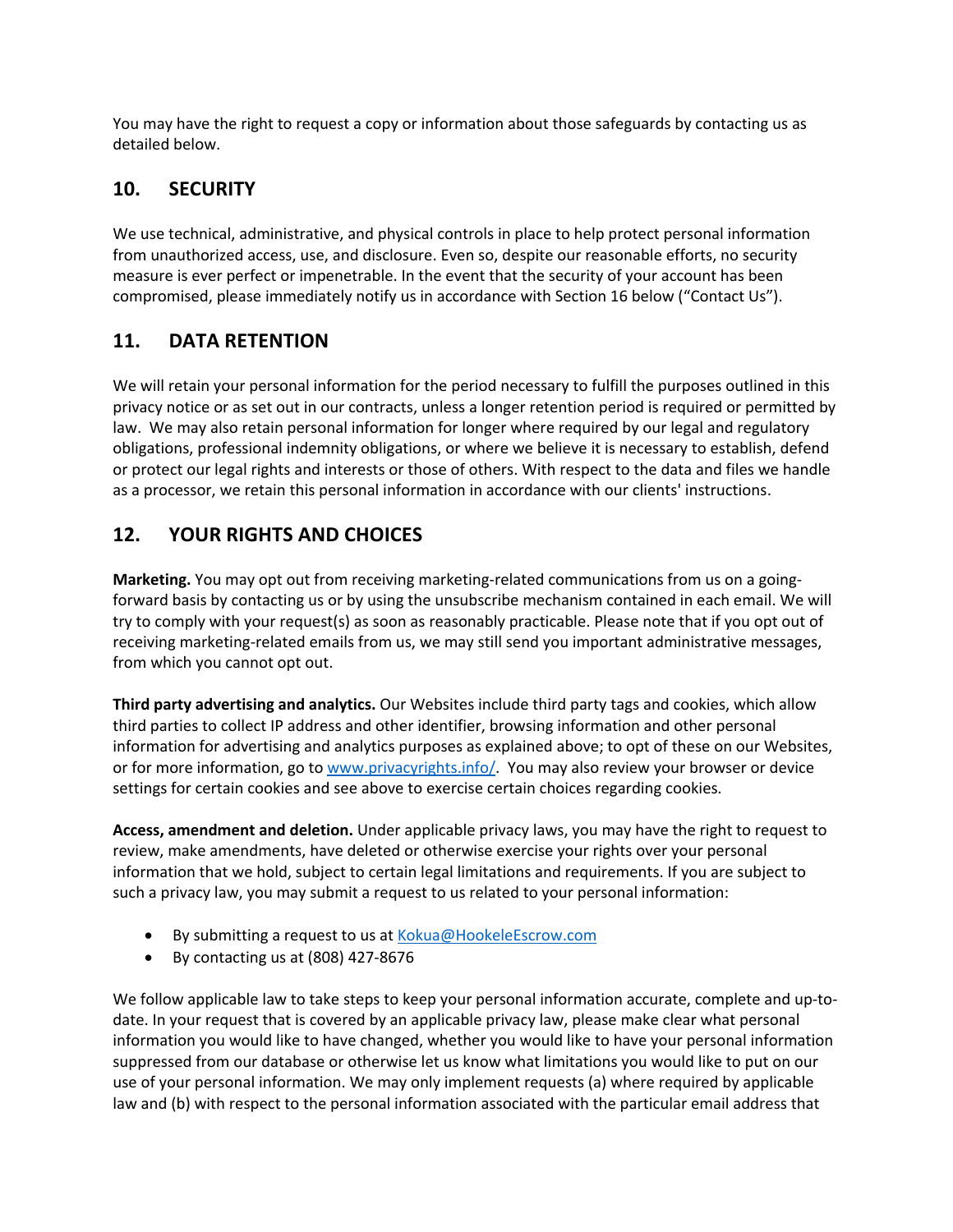You may have the right to request a copy or information about those safeguards by contacting us as detailed below.

# **10. SECURITY**

We use technical, administrative, and physical controls in place to help protect personal information from unauthorized access, use, and disclosure. Even so, despite our reasonable efforts, no security measure is ever perfect or impenetrable. In the event that the security of your account has been compromised, please immediately notify us in accordance with Section 16 below ("Contact Us").

## **11. DATA RETENTION**

We will retain your personal information for the period necessary to fulfill the purposes outlined in this privacy notice or as set out in our contracts, unless a longer retention period is required or permitted by law. We may also retain personal information for longer where required by our legal and regulatory obligations, professional indemnity obligations, or where we believe it is necessary to establish, defend or protect our legal rights and interests or those of others. With respect to the data and files we handle as a processor, we retain this personal information in accordance with our clients' instructions.

# **12. YOUR RIGHTS AND CHOICES**

**Marketing.** You may opt out from receiving marketing-related communications from us on a goingforward basis by contacting us or by using the unsubscribe mechanism contained in each email. We will try to comply with your request(s) as soon as reasonably practicable. Please note that if you opt out of receiving marketing-related emails from us, we may still send you important administrative messages, from which you cannot opt out.

**Third party advertising and analytics.** Our Websites include third party tags and cookies, which allow third parties to collect IP address and other identifier, browsing information and other personal information for advertising and analytics purposes as explained above; to opt of these on our Websites, or for more information, go to www.privacyrights.info/. You may also review your browser or device settings for certain cookies and see above to exercise certain choices regarding cookies.

**Access, amendment and deletion.** Under applicable privacy laws, you may have the right to request to review, make amendments, have deleted or otherwise exercise your rights over your personal information that we hold, subject to certain legal limitations and requirements. If you are subject to such a privacy law, you may submit a request to us related to your personal information:

- By submitting a request to us at Kokua@HookeleEscrow.com
- By contacting us at (808) 427-8676

We follow applicable law to take steps to keep your personal information accurate, complete and up-todate. In your request that is covered by an applicable privacy law, please make clear what personal information you would like to have changed, whether you would like to have your personal information suppressed from our database or otherwise let us know what limitations you would like to put on our use of your personal information. We may only implement requests (a) where required by applicable law and (b) with respect to the personal information associated with the particular email address that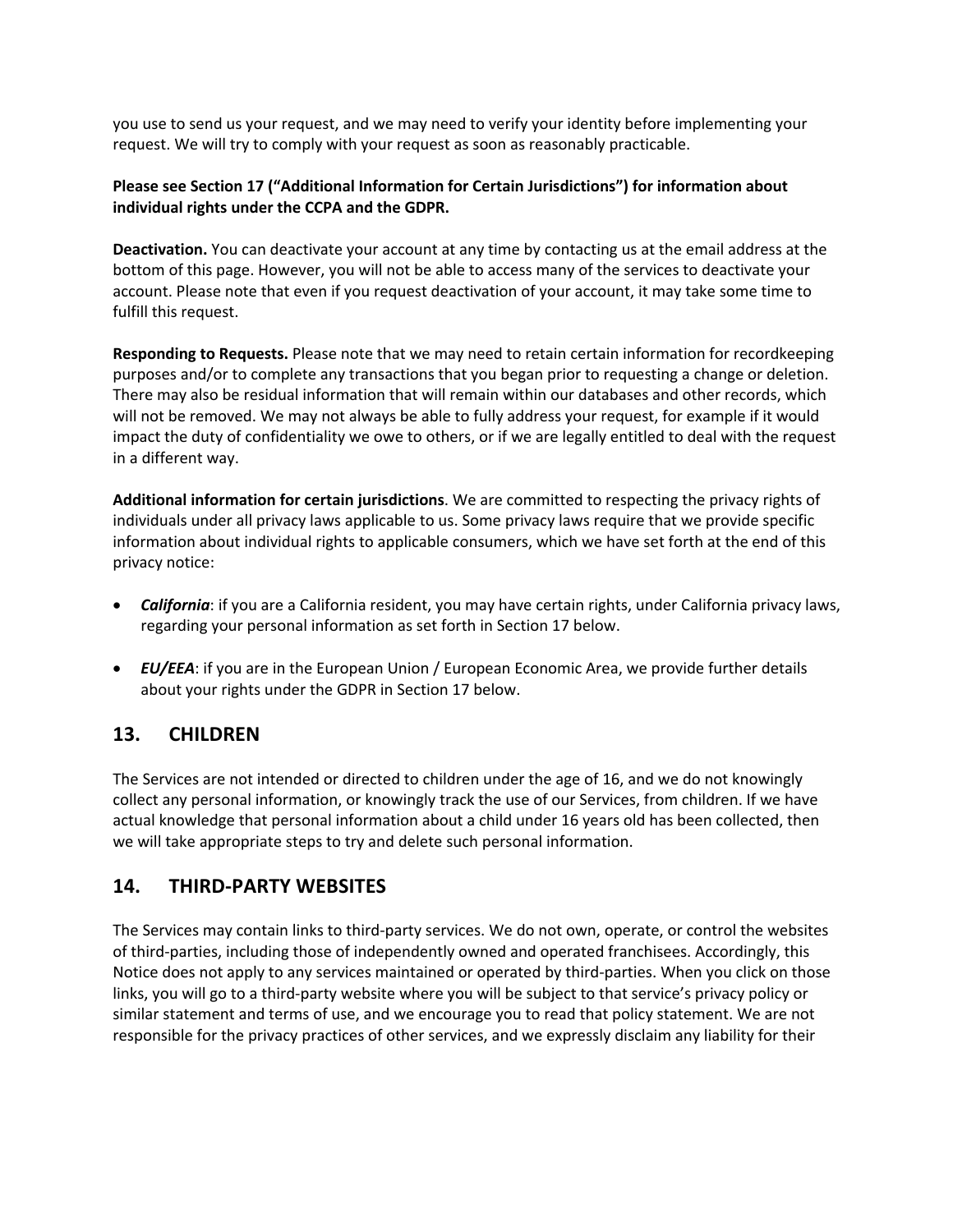you use to send us your request, and we may need to verify your identity before implementing your request. We will try to comply with your request as soon as reasonably practicable.

### **Please see Section 17 ("Additional Information for Certain Jurisdictions") for information about individual rights under the CCPA and the GDPR.**

**Deactivation.** You can deactivate your account at any time by contacting us at the email address at the bottom of this page. However, you will not be able to access many of the services to deactivate your account. Please note that even if you request deactivation of your account, it may take some time to fulfill this request.

**Responding to Requests.** Please note that we may need to retain certain information for recordkeeping purposes and/or to complete any transactions that you began prior to requesting a change or deletion. There may also be residual information that will remain within our databases and other records, which will not be removed. We may not always be able to fully address your request, for example if it would impact the duty of confidentiality we owe to others, or if we are legally entitled to deal with the request in a different way.

**Additional information for certain jurisdictions**. We are committed to respecting the privacy rights of individuals under all privacy laws applicable to us. Some privacy laws require that we provide specific information about individual rights to applicable consumers, which we have set forth at the end of this privacy notice:

- *California*: if you are a California resident, you may have certain rights, under California privacy laws, regarding your personal information as set forth in Section 17 below.
- *EU/EEA*: if you are in the European Union / European Economic Area, we provide further details about your rights under the GDPR in Section 17 below.

# **13. CHILDREN**

The Services are not intended or directed to children under the age of 16, and we do not knowingly collect any personal information, or knowingly track the use of our Services, from children. If we have actual knowledge that personal information about a child under 16 years old has been collected, then we will take appropriate steps to try and delete such personal information.

## **14. THIRD-PARTY WEBSITES**

The Services may contain links to third-party services. We do not own, operate, or control the websites of third-parties, including those of independently owned and operated franchisees. Accordingly, this Notice does not apply to any services maintained or operated by third-parties. When you click on those links, you will go to a third-party website where you will be subject to that service's privacy policy or similar statement and terms of use, and we encourage you to read that policy statement. We are not responsible for the privacy practices of other services, and we expressly disclaim any liability for their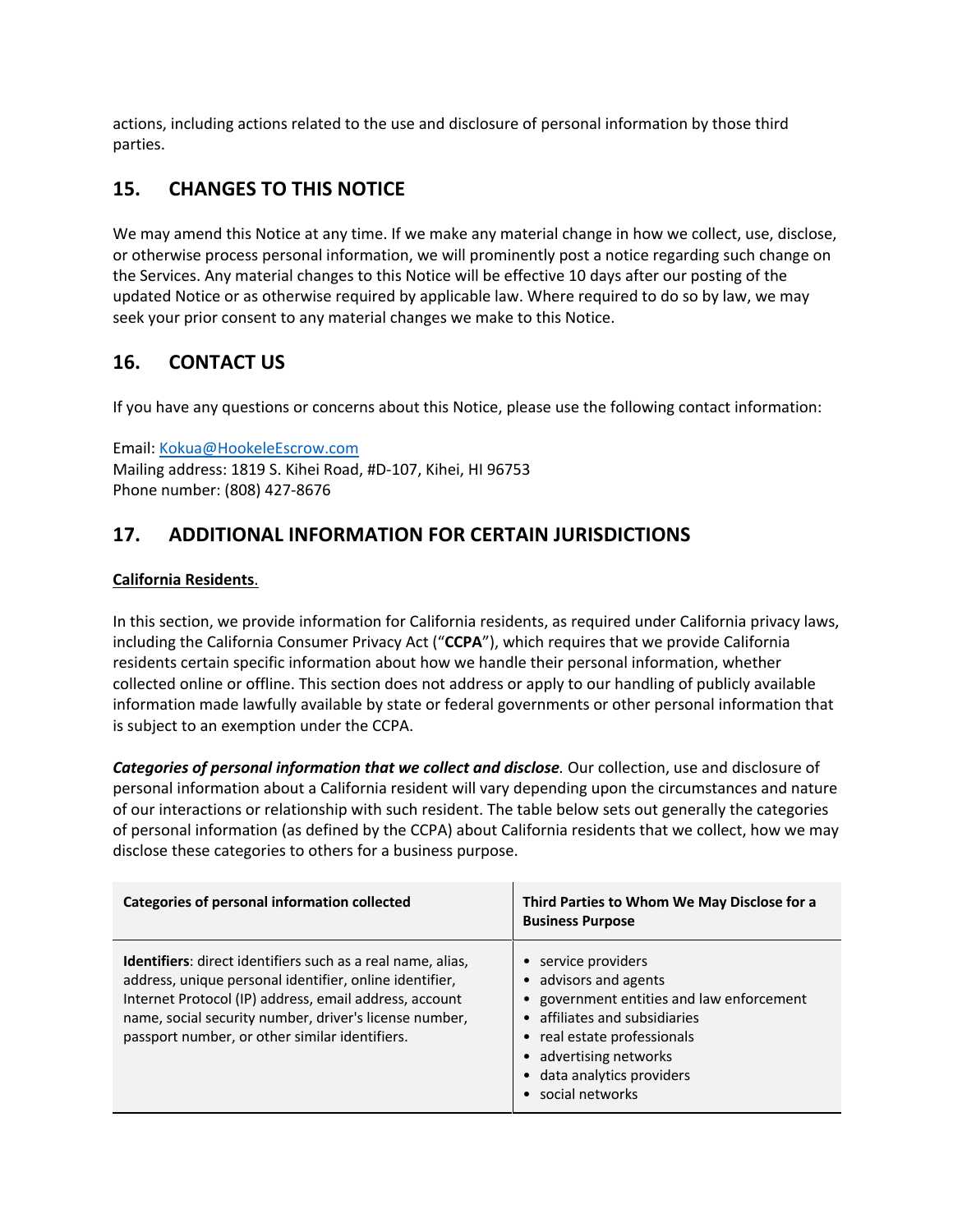actions, including actions related to the use and disclosure of personal information by those third parties.

# **15. CHANGES TO THIS NOTICE**

We may amend this Notice at any time. If we make any material change in how we collect, use, disclose, or otherwise process personal information, we will prominently post a notice regarding such change on the Services. Any material changes to this Notice will be effective 10 days after our posting of the updated Notice or as otherwise required by applicable law. Where required to do so by law, we may seek your prior consent to any material changes we make to this Notice.

# **16. CONTACT US**

If you have any questions or concerns about this Notice, please use the following contact information:

Email: Kokua@HookeleEscrow.com Mailing address: 1819 S. Kihei Road, #D-107, Kihei, HI 96753 Phone number: (808) 427-8676

# **17. ADDITIONAL INFORMATION FOR CERTAIN JURISDICTIONS**

### **California Residents**.

In this section, we provide information for California residents, as required under California privacy laws, including the California Consumer Privacy Act ("**CCPA**"), which requires that we provide California residents certain specific information about how we handle their personal information, whether collected online or offline. This section does not address or apply to our handling of publicly available information made lawfully available by state or federal governments or other personal information that is subject to an exemption under the CCPA.

*Categories of personal information that we collect and disclose.* Our collection, use and disclosure of personal information about a California resident will vary depending upon the circumstances and nature of our interactions or relationship with such resident. The table below sets out generally the categories of personal information (as defined by the CCPA) about California residents that we collect, how we may disclose these categories to others for a business purpose.

| Categories of personal information collected                                                                                                                                                                                                                                                        | Third Parties to Whom We May Disclose for a<br><b>Business Purpose</b>                                                                                                                                                             |
|-----------------------------------------------------------------------------------------------------------------------------------------------------------------------------------------------------------------------------------------------------------------------------------------------------|------------------------------------------------------------------------------------------------------------------------------------------------------------------------------------------------------------------------------------|
| <b>Identifiers:</b> direct identifiers such as a real name, alias,<br>address, unique personal identifier, online identifier,<br>Internet Protocol (IP) address, email address, account<br>name, social security number, driver's license number,<br>passport number, or other similar identifiers. | • service providers<br>• advisors and agents<br>• government entities and law enforcement<br>• affiliates and subsidiaries<br>• real estate professionals<br>• advertising networks<br>data analytics providers<br>social networks |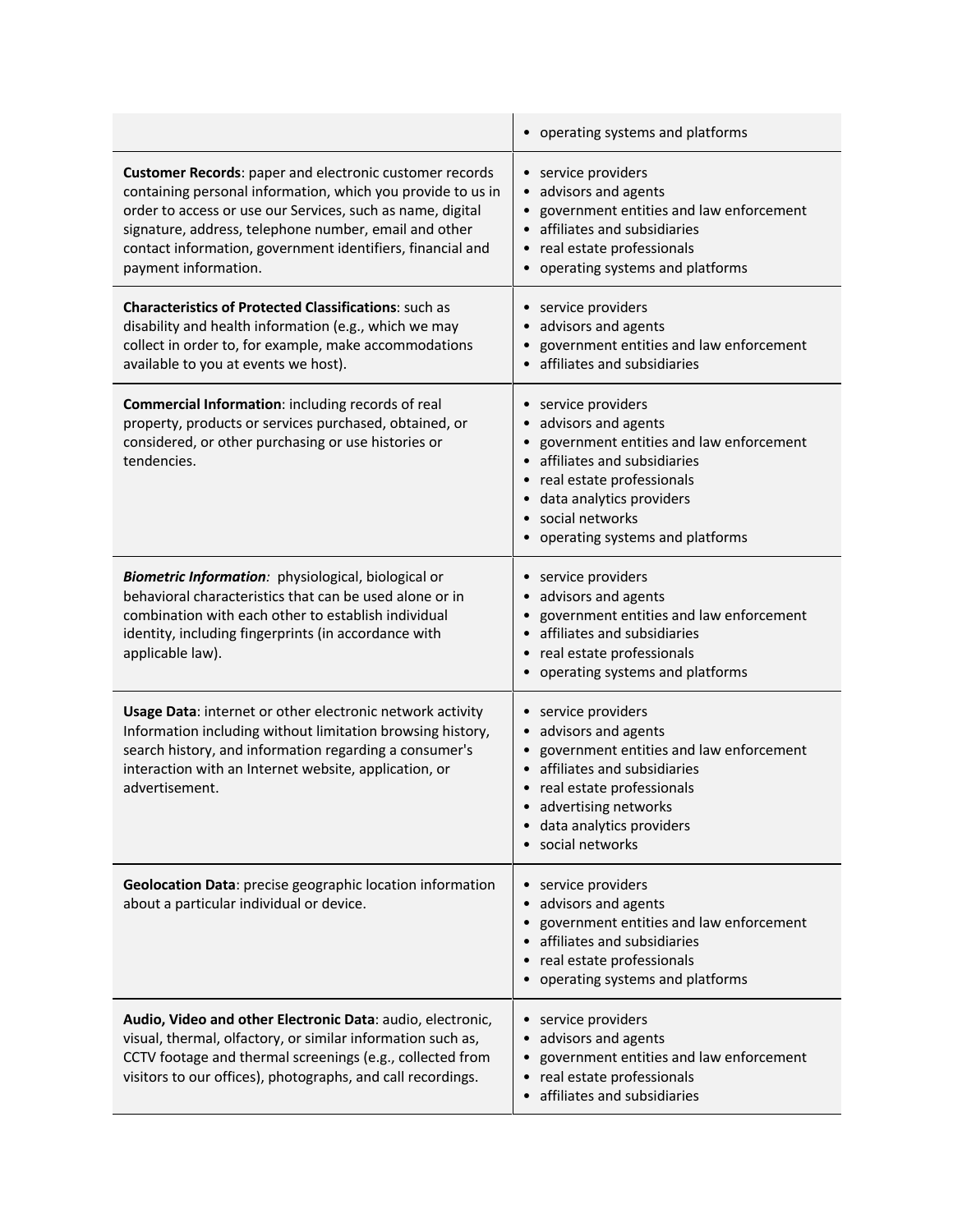|                                                                                                                                                                                                                                                                                                                                            | • operating systems and platforms                                                                                                                                                                                                                                 |
|--------------------------------------------------------------------------------------------------------------------------------------------------------------------------------------------------------------------------------------------------------------------------------------------------------------------------------------------|-------------------------------------------------------------------------------------------------------------------------------------------------------------------------------------------------------------------------------------------------------------------|
| <b>Customer Records:</b> paper and electronic customer records<br>containing personal information, which you provide to us in<br>order to access or use our Services, such as name, digital<br>signature, address, telephone number, email and other<br>contact information, government identifiers, financial and<br>payment information. | • service providers<br>advisors and agents<br>government entities and law enforcement<br>affiliates and subsidiaries<br>$\bullet$<br>real estate professionals<br>$\bullet$<br>operating systems and platforms                                                    |
| <b>Characteristics of Protected Classifications: such as</b><br>disability and health information (e.g., which we may<br>collect in order to, for example, make accommodations<br>available to you at events we host).                                                                                                                     | • service providers<br>advisors and agents<br>government entities and law enforcement<br>affiliates and subsidiaries                                                                                                                                              |
| Commercial Information: including records of real<br>property, products or services purchased, obtained, or<br>considered, or other purchasing or use histories or<br>tendencies.                                                                                                                                                          | • service providers<br>advisors and agents<br>$\bullet$<br>government entities and law enforcement<br>affiliates and subsidiaries<br>real estate professionals<br>data analytics providers<br>social networks<br>operating systems and platforms                  |
| Biometric Information: physiological, biological or<br>behavioral characteristics that can be used alone or in<br>combination with each other to establish individual<br>identity, including fingerprints (in accordance with<br>applicable law).                                                                                          | • service providers<br>advisors and agents<br>government entities and law enforcement<br>affiliates and subsidiaries<br>$\bullet$<br>real estate professionals<br>operating systems and platforms                                                                 |
| Usage Data: internet or other electronic network activity<br>Information including without limitation browsing history,<br>search history, and information regarding a consumer's<br>interaction with an Internet website, application, or<br>advertisement.                                                                               | • service providers<br>advisors and agents<br>$\bullet$<br>government entities and law enforcement<br>$\bullet$<br>affiliates and subsidiaries<br>$\bullet$<br>real estate professionals<br>advertising networks<br>• data analytics providers<br>social networks |
| Geolocation Data: precise geographic location information<br>about a particular individual or device.                                                                                                                                                                                                                                      | • service providers<br>advisors and agents<br>government entities and law enforcement<br>affiliates and subsidiaries<br>real estate professionals<br>• operating systems and platforms                                                                            |
| Audio, Video and other Electronic Data: audio, electronic,<br>visual, thermal, olfactory, or similar information such as,<br>CCTV footage and thermal screenings (e.g., collected from<br>visitors to our offices), photographs, and call recordings.                                                                                      | • service providers<br>advisors and agents<br>$\bullet$<br>government entities and law enforcement<br>$\bullet$<br>real estate professionals<br>$\bullet$<br>affiliates and subsidiaries<br>$\bullet$                                                             |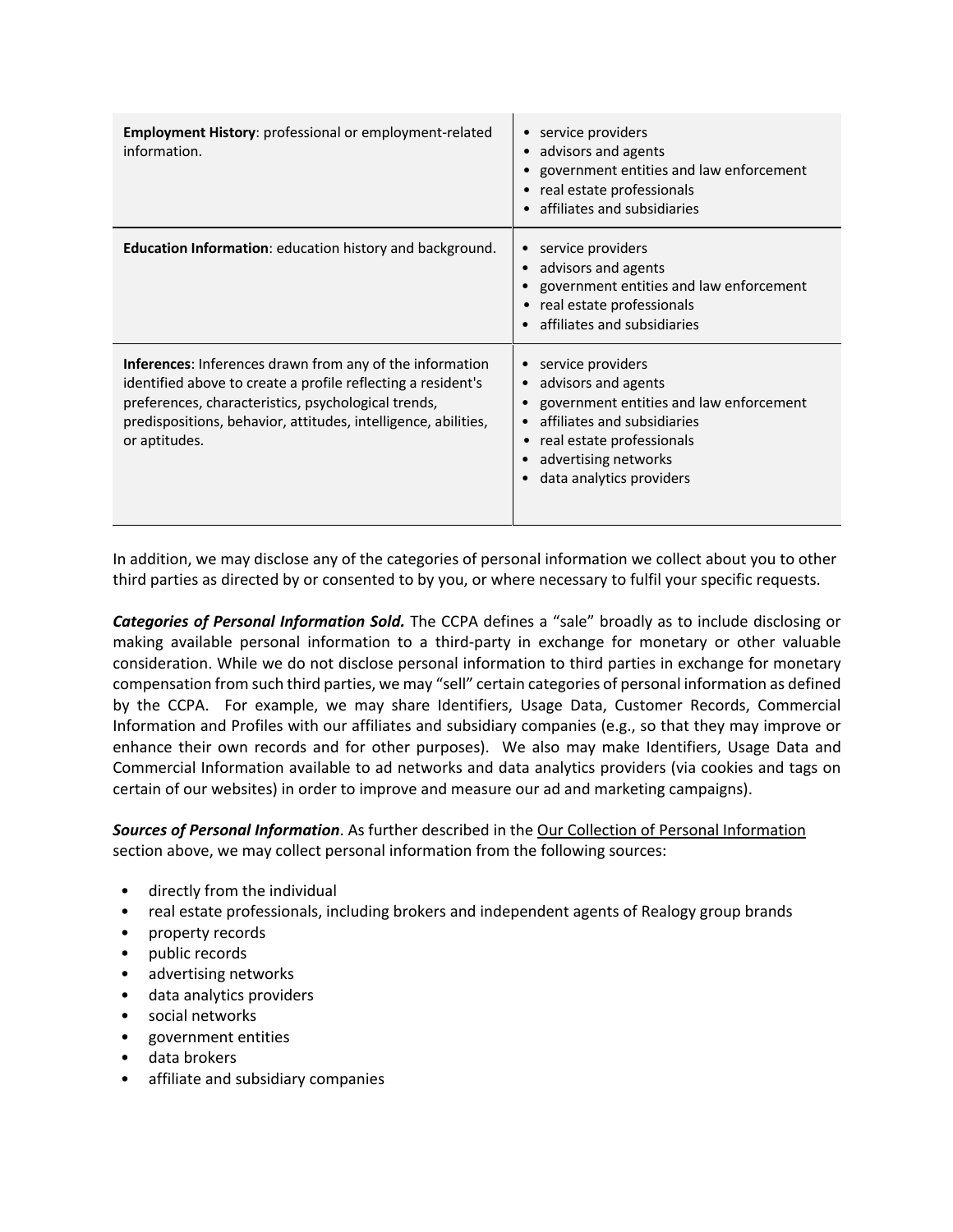| <b>Employment History:</b> professional or employment-related<br>information.                                                                                                                                                                                             | service providers<br>advisors and agents<br>$\bullet$<br>government entities and law enforcement<br>real estate professionals<br>affiliates and subsidiaries                                                                  |
|---------------------------------------------------------------------------------------------------------------------------------------------------------------------------------------------------------------------------------------------------------------------------|-------------------------------------------------------------------------------------------------------------------------------------------------------------------------------------------------------------------------------|
| <b>Education Information:</b> education history and background.                                                                                                                                                                                                           | service providers<br>٠<br>advisors and agents<br>$\bullet$<br>government entities and law enforcement<br>real estate professionals<br>affiliates and subsidiaries                                                             |
| <b>Inferences:</b> Inferences drawn from any of the information<br>identified above to create a profile reflecting a resident's<br>preferences, characteristics, psychological trends,<br>predispositions, behavior, attitudes, intelligence, abilities,<br>or aptitudes. | service providers<br>$\bullet$<br>advisors and agents<br>$\bullet$<br>government entities and law enforcement<br>affiliates and subsidiaries<br>real estate professionals<br>advertising networks<br>data analytics providers |

In addition, we may disclose any of the categories of personal information we collect about you to other third parties as directed by or consented to by you, or where necessary to fulfil your specific requests.

*Categories of Personal Information Sold.* The CCPA defines a "sale" broadly as to include disclosing or making available personal information to a third-party in exchange for monetary or other valuable consideration. While we do not disclose personal information to third parties in exchange for monetary compensation from such third parties, we may "sell" certain categories of personal information as defined by the CCPA. For example, we may share Identifiers, Usage Data, Customer Records, Commercial Information and Profiles with our affiliates and subsidiary companies (e.g., so that they may improve or enhance their own records and for other purposes). We also may make Identifiers, Usage Data and Commercial Information available to ad networks and data analytics providers (via cookies and tags on certain of our websites) in order to improve and measure our ad and marketing campaigns).

*Sources of Personal Information*. As further described in the Our Collection of Personal Information section above, we may collect personal information from the following sources:

- directly from the individual
- real estate professionals, including brokers and independent agents of Realogy group brands
- property records
- public records
- advertising networks
- data analytics providers
- social networks
- government entities
- data brokers
- affiliate and subsidiary companies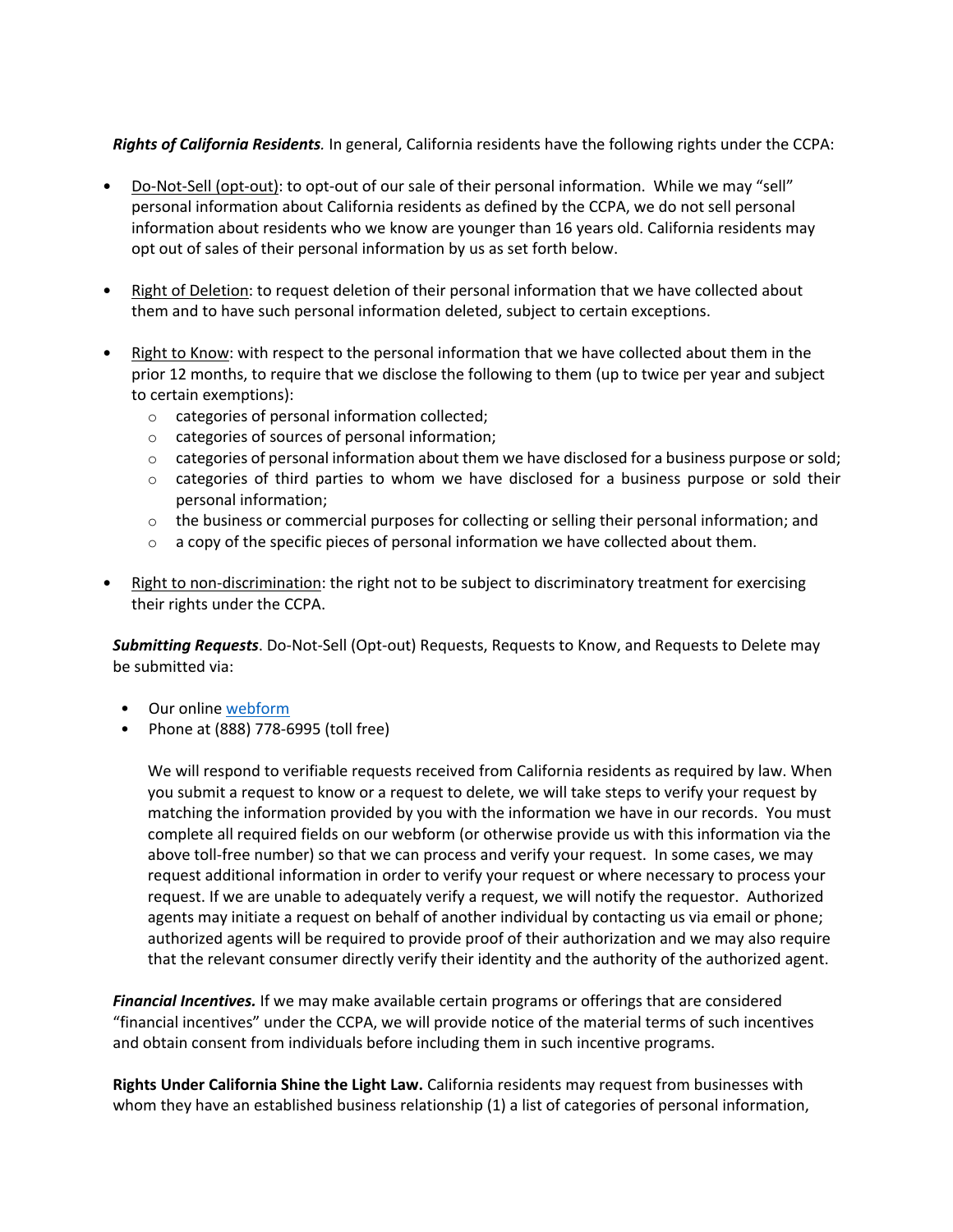*Rights of California Residents.* In general, California residents have the following rights under the CCPA:

- Do-Not-Sell (opt-out): to opt-out of our sale of their personal information. While we may "sell" personal information about California residents as defined by the CCPA, we do not sell personal information about residents who we know are younger than 16 years old. California residents may opt out of sales of their personal information by us as set forth below.
- Right of Deletion: to request deletion of their personal information that we have collected about them and to have such personal information deleted, subject to certain exceptions.
- Right to Know: with respect to the personal information that we have collected about them in the prior 12 months, to require that we disclose the following to them (up to twice per year and subject to certain exemptions):
	- o categories of personal information collected;
	- o categories of sources of personal information;
	- $\circ$  categories of personal information about them we have disclosed for a business purpose or sold;
	- $\circ$  categories of third parties to whom we have disclosed for a business purpose or sold their personal information;
	- $\circ$  the business or commercial purposes for collecting or selling their personal information; and
	- $\circ$  a copy of the specific pieces of personal information we have collected about them.
- Right to non-discrimination: the right not to be subject to discriminatory treatment for exercising their rights under the CCPA.

*Submitting Requests*. Do-Not-Sell (Opt-out) Requests, Requests to Know, and Requests to Delete may be submitted via:

- Our online webform
- Phone at (888) 778-6995 (toll free)

We will respond to verifiable requests received from California residents as required by law. When you submit a request to know or a request to delete, we will take steps to verify your request by matching the information provided by you with the information we have in our records. You must complete all required fields on our webform (or otherwise provide us with this information via the above toll-free number) so that we can process and verify your request. In some cases, we may request additional information in order to verify your request or where necessary to process your request. If we are unable to adequately verify a request, we will notify the requestor. Authorized agents may initiate a request on behalf of another individual by contacting us via email or phone; authorized agents will be required to provide proof of their authorization and we may also require that the relevant consumer directly verify their identity and the authority of the authorized agent.

*Financial Incentives.* If we may make available certain programs or offerings that are considered "financial incentives" under the CCPA, we will provide notice of the material terms of such incentives and obtain consent from individuals before including them in such incentive programs.

**Rights Under California Shine the Light Law.** California residents may request from businesses with whom they have an established business relationship (1) a list of categories of personal information,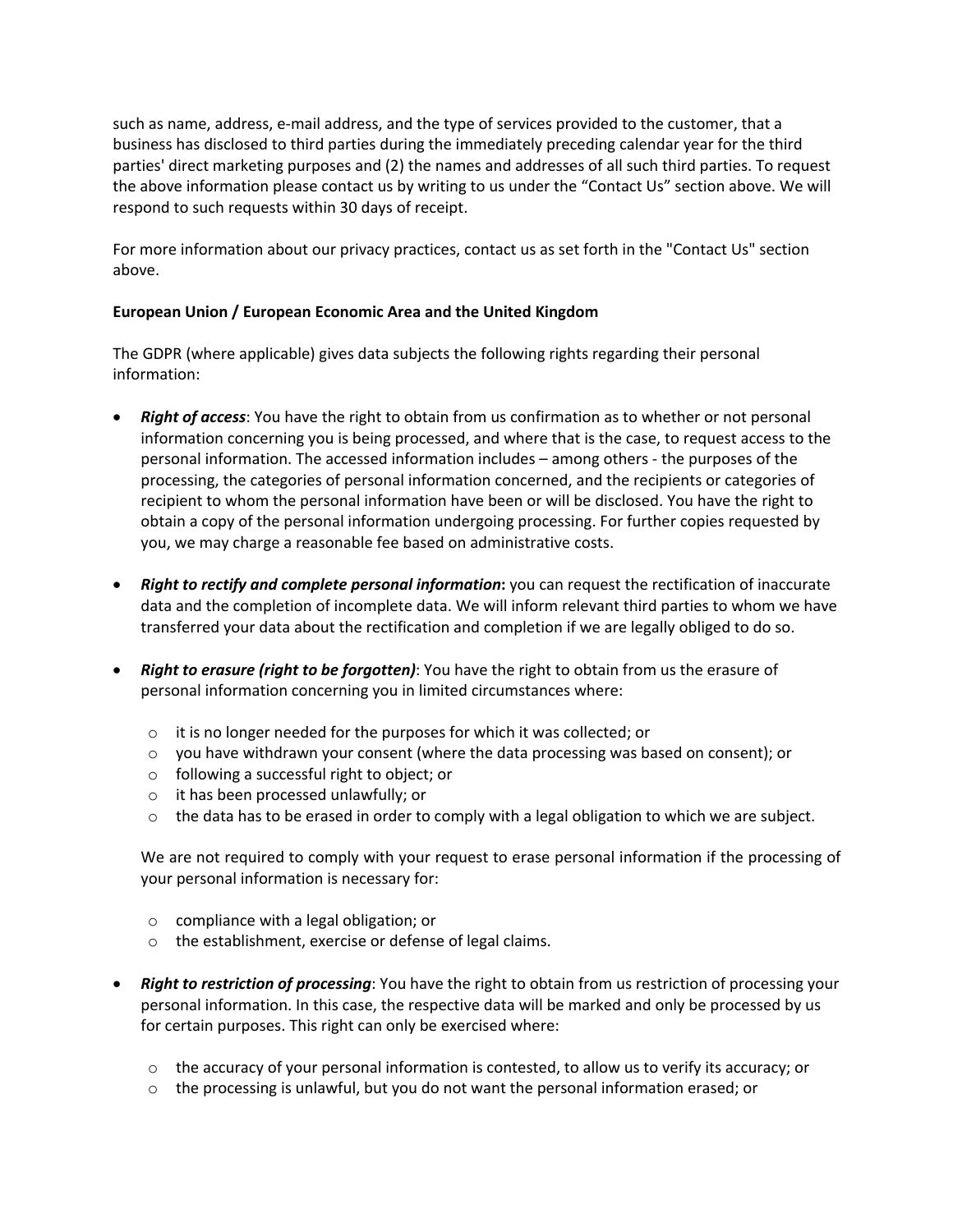such as name, address, e-mail address, and the type of services provided to the customer, that a business has disclosed to third parties during the immediately preceding calendar year for the third parties' direct marketing purposes and (2) the names and addresses of all such third parties. To request the above information please contact us by writing to us under the "Contact Us" section above. We will respond to such requests within 30 days of receipt.

For more information about our privacy practices, contact us as set forth in the "Contact Us" section above.

#### **European Union / European Economic Area and the United Kingdom**

The GDPR (where applicable) gives data subjects the following rights regarding their personal information:

- *Right of access*: You have the right to obtain from us confirmation as to whether or not personal information concerning you is being processed, and where that is the case, to request access to the personal information. The accessed information includes – among others - the purposes of the processing, the categories of personal information concerned, and the recipients or categories of recipient to whom the personal information have been or will be disclosed. You have the right to obtain a copy of the personal information undergoing processing. For further copies requested by you, we may charge a reasonable fee based on administrative costs.
- *Right to rectify and complete personal information***:** you can request the rectification of inaccurate data and the completion of incomplete data. We will inform relevant third parties to whom we have transferred your data about the rectification and completion if we are legally obliged to do so.
- *Right to erasure (right to be forgotten)*: You have the right to obtain from us the erasure of personal information concerning you in limited circumstances where:
	- o it is no longer needed for the purposes for which it was collected; or
	- $\circ$  you have withdrawn your consent (where the data processing was based on consent); or
	- o following a successful right to object; or
	- o it has been processed unlawfully; or
	- o the data has to be erased in order to comply with a legal obligation to which we are subject.

We are not required to comply with your request to erase personal information if the processing of your personal information is necessary for:

- o compliance with a legal obligation; or
- o the establishment, exercise or defense of legal claims.
- *Right to restriction of processing*: You have the right to obtain from us restriction of processing your personal information. In this case, the respective data will be marked and only be processed by us for certain purposes. This right can only be exercised where:
	- $\circ$  the accuracy of your personal information is contested, to allow us to verify its accuracy; or
	- $\circ$  the processing is unlawful, but you do not want the personal information erased; or